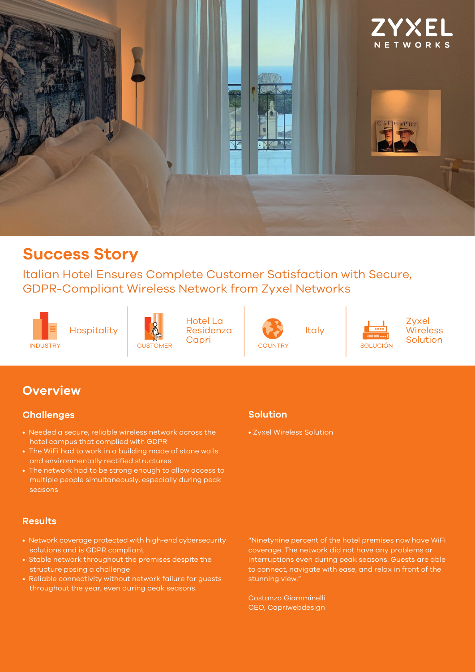

## **Success Story**

Italian Hotel Ensures Complete Customer Satisfaction with Secure, GDPR-Compliant Wireless Network from Zyxel Networks





Hotel La Residenza **CAPRIS CAPRIS COUNTRY SOLUCIÓN**<br>COUNTRY SOLUCIÓN



Italy



**Zyxel Wireless** Solution

## **Overview**

### **Challenges**

- Needed a secure, reliable wireless network across the hotel campus that complied with GDPR
- The WiFi had to work in a building made of stone walls and environmentally rectified structures
- The network had to be strong enough to allow access to multiple people simultaneously, especially during peak seasons

#### **Results**

- Network coverage protected with high-end cybersecurity solutions and is GDPR compliant
- Stable network throughout the premises despite the structure posing a challenge
- Reliable connectivity without network failure for guests throughout the year, even during peak seasons.

### **Solution**

• Zyxel Wireless Solution

"Ninetynine percent of the hotel premises now have WiFi coverage. The network did not have any problems or interruptions even during peak seasons. Guests are able to connect, navigate with ease, and relax in front of the stunning view."

Costanzo Giamminelli CEO, Capriwebdesign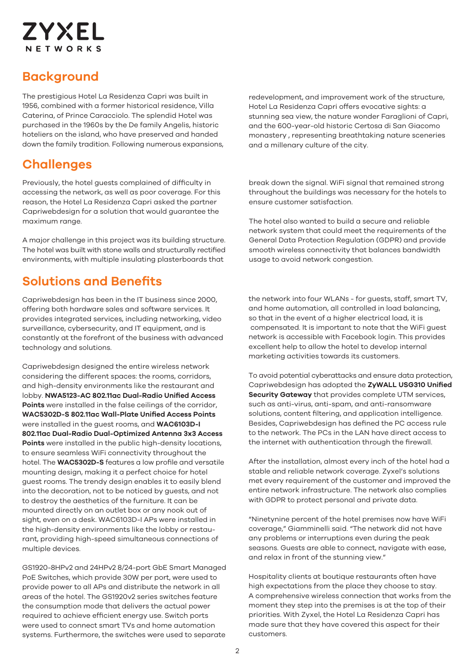# **ZYXEL** NETWORKS

## **Background**

The prestigious Hotel La Residenza Capri was built in 1956, combined with a former historical residence, Villa Caterina, of Prince Caracciolo. The splendid Hotel was purchased in the 1960s by the De family Angelis, historic hoteliers on the island, who have preserved and handed down the family tradition. Following numerous expansions,

## **Challenges**

Previously, the hotel guests complained of difficulty in accessing the network, as well as poor coverage. For this reason, the Hotel La Residenza Capri asked the partner Capriwebdesign for a solution that would guarantee the maximum range.

A major challenge in this project was its building structure. The hotel was built with stone walls and structurally rectified environments, with multiple insulating plasterboards that

## **Solutions and Benefits**

Capriwebdesign has been in the IT business since 2000, offering both hardware sales and software services. It provides integrated services, including networking, video surveillance, cybersecurity, and IT equipment, and is constantly at the forefront of the business with advanced technology and solutions.

Capriwebdesign designed the entire wireless network considering the different spaces: the rooms, corridors, and high-density environments like the restaurant and lobby. **NWA5123-AC 802.11ac Dual-Radio Unified Access Points** were installed in the false ceilings of the corridor, **WAC5302D-S 802.11ac Wall-Plate Unified Access Points** were installed in the guest rooms, and **WAC6103D-I 802.11ac Dual-Radio Dual-Optimized Antenna 3x3 Access Points** were installed in the public high-density locations, to ensure seamless WiFi connectivity throughout the hotel. The **WAC5302D-S** features a low profile and versatile mounting design, making it a perfect choice for hotel guest rooms. The trendy design enables it to easily blend into the decoration, not to be noticed by guests, and not to destroy the aesthetics of the furniture. It can be mounted directly on an outlet box or any nook out of sight, even on a desk. WAC6103D-I APs were installed in the high-density environments like the lobby or restaurant, providing high-speed simultaneous connections of multiple devices.

GS1920-8HPv2 and 24HPv2 8/24-port GbE Smart Managed PoE Switches, which provide 30W per port, were used to provide power to all APs and distribute the network in all areas of the hotel. The GS1920v2 series switches feature the consumption mode that delivers the actual power required to achieve efficient energy use. Switch ports were used to connect smart TVs and home automation systems. Furthermore, the switches were used to separate

redevelopment, and improvement work of the structure, Hotel La Residenza Capri offers evocative sights: a stunning sea view, the nature wonder Faraglioni of Capri, and the 600-year-old historic Certosa di San Giacomo monastery , representing breathtaking nature sceneries and a millenary culture of the city.

break down the signal. WiFi signal that remained strong throughout the buildings was necessary for the hotels to ensure customer satisfaction.

The hotel also wanted to build a secure and reliable network system that could meet the requirements of the General Data Protection Regulation (GDPR) and provide smooth wireless connectivity that balances bandwidth usage to avoid network congestion.

the network into four WLANs - for guests, staff, smart TV, and home automation, all controlled in load balancing, so that in the event of a higher electrical load, it is compensated. It is important to note that the WiFi guest network is accessible with Facebook login. This provides excellent help to allow the hotel to develop internal marketing activities towards its customers.

To avoid potential cyberattacks and ensure data protection, Capriwebdesign has adopted the **ZyWALL USG310 Unified Security Gateway** that provides complete UTM services, such as anti-virus, anti-spam, and anti-ransomware solutions, content filtering, and application intelligence. Besides, Capriwebdesign has defined the PC access rule to the network. The PCs in the LAN have direct access to the internet with authentication through the firewall.

After the installation, almost every inch of the hotel had a stable and reliable network coverage. Zyxel's solutions met every requirement of the customer and improved the entire network infrastructure. The network also complies with GDPR to protect personal and private data.

"Ninetynine percent of the hotel premises now have WiFi coverage," Giamminelli said. "The network did not have any problems or interruptions even during the peak seasons. Guests are able to connect, navigate with ease, and relax in front of the stunning view."

Hospitality clients at boutique restaurants often have high expectations from the place they choose to stay. A comprehensive wireless connection that works from the moment they step into the premises is at the top of their priorities. With Zyxel, the Hotel La Residenza Capri has made sure that they have covered this aspect for their customers.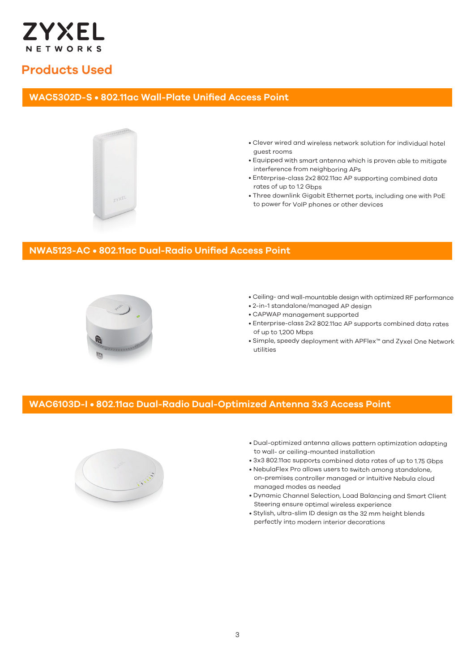

### **Products Used**

### **WAC5302D-S • 802.11ac Wall-Plate Unified Access Point**



- Clever wired and wireless network solution for individual hotel guest rooms
- Equipped with smart antenna which is proven able to mitigate interference from neighboring APs
- Enterprise-class 2x2 802.11ac AP supporting combined data rates of up to 1.2 Gbps
- Three downlink Gigabit Ethernet ports, including one with PoE to power for VoIP phones or other devices

### **NWA5123-AC • 802.11ac Dual-Radio Unified Access Point**



- Ceiling- and wall-mountable design with optimized RF performance
- 2-in-1 standalone/managed AP design
- CAPWAP management supported
- Enterprise-class 2x2 802.11ac AP supports combined data rates of up to 1,200 Mbps
- Simple, speedy deployment with APFlex™ and Zyxel One Network utilities

#### **WAC6103D-I • 802.11ac Dual-Radio Dual-Optimized Antenna 3x3 Access Point**



- Dual-optimized antenna allows pattern optimization adapting to wall- or ceiling-mounted installation
- 3x3 802.11ac supports combined data rates of up to 1.75 Gbps
- NebulaFlex Pro allows users to switch among standalone, on-premises controller managed or intuitive Nebula cloud managed modes as needed
- Dynamic Channel Selection, Load Balancing and Smart Client Steering ensure optimal wireless experience
- Stylish, ultra-slim ID design as the 32 mm height blends perfectly into modern interior decorations